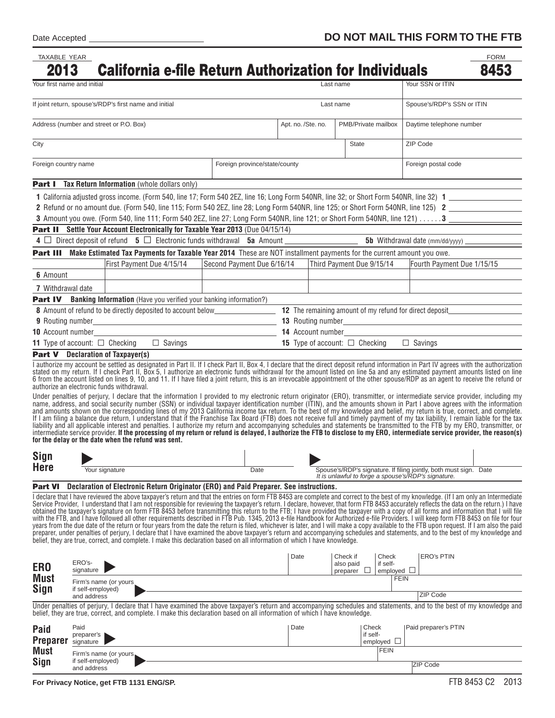| TAXABLE YEAR                                           |                                                                                                                                                                                                                                                                                                                                                                                                                                                                                                                                                                                                                                                                                                                                                                                                                                                                                                                                                                                                                                                                                                                                                                                                                                                                                                                                                                                                                                                                                                                                                            |                            |      |                    |           |                                                                                |                                                                                                                          | <b>FORM</b> |  |
|--------------------------------------------------------|------------------------------------------------------------------------------------------------------------------------------------------------------------------------------------------------------------------------------------------------------------------------------------------------------------------------------------------------------------------------------------------------------------------------------------------------------------------------------------------------------------------------------------------------------------------------------------------------------------------------------------------------------------------------------------------------------------------------------------------------------------------------------------------------------------------------------------------------------------------------------------------------------------------------------------------------------------------------------------------------------------------------------------------------------------------------------------------------------------------------------------------------------------------------------------------------------------------------------------------------------------------------------------------------------------------------------------------------------------------------------------------------------------------------------------------------------------------------------------------------------------------------------------------------------------|----------------------------|------|--------------------|-----------|--------------------------------------------------------------------------------|--------------------------------------------------------------------------------------------------------------------------|-------------|--|
| 2013                                                   | <b>California e-file Return Authorization for Individuals</b>                                                                                                                                                                                                                                                                                                                                                                                                                                                                                                                                                                                                                                                                                                                                                                                                                                                                                                                                                                                                                                                                                                                                                                                                                                                                                                                                                                                                                                                                                              |                            |      |                    |           |                                                                                |                                                                                                                          | 8453        |  |
| Your first name and initial                            |                                                                                                                                                                                                                                                                                                                                                                                                                                                                                                                                                                                                                                                                                                                                                                                                                                                                                                                                                                                                                                                                                                                                                                                                                                                                                                                                                                                                                                                                                                                                                            |                            |      |                    | Last name |                                                                                | Your SSN or ITIN                                                                                                         |             |  |
| If joint return, spouse's/RDP's first name and initial |                                                                                                                                                                                                                                                                                                                                                                                                                                                                                                                                                                                                                                                                                                                                                                                                                                                                                                                                                                                                                                                                                                                                                                                                                                                                                                                                                                                                                                                                                                                                                            |                            |      | Last name          |           |                                                                                | Spouse's/RDP's SSN or ITIN                                                                                               |             |  |
| Address (number and street or P.O. Box)                |                                                                                                                                                                                                                                                                                                                                                                                                                                                                                                                                                                                                                                                                                                                                                                                                                                                                                                                                                                                                                                                                                                                                                                                                                                                                                                                                                                                                                                                                                                                                                            |                            |      | Apt. no. /Ste. no. |           | PMB/Private mailbox                                                            | Daytime telephone number                                                                                                 |             |  |
| City                                                   |                                                                                                                                                                                                                                                                                                                                                                                                                                                                                                                                                                                                                                                                                                                                                                                                                                                                                                                                                                                                                                                                                                                                                                                                                                                                                                                                                                                                                                                                                                                                                            |                            |      |                    |           | <b>State</b>                                                                   | ZIP Code                                                                                                                 |             |  |
| Foreign country name<br>Foreign province/state/county  |                                                                                                                                                                                                                                                                                                                                                                                                                                                                                                                                                                                                                                                                                                                                                                                                                                                                                                                                                                                                                                                                                                                                                                                                                                                                                                                                                                                                                                                                                                                                                            |                            |      |                    |           |                                                                                | Foreign postal code                                                                                                      |             |  |
|                                                        | <b>Part I</b> Tax Return Information (whole dollars only)                                                                                                                                                                                                                                                                                                                                                                                                                                                                                                                                                                                                                                                                                                                                                                                                                                                                                                                                                                                                                                                                                                                                                                                                                                                                                                                                                                                                                                                                                                  |                            |      |                    |           |                                                                                |                                                                                                                          |             |  |
|                                                        |                                                                                                                                                                                                                                                                                                                                                                                                                                                                                                                                                                                                                                                                                                                                                                                                                                                                                                                                                                                                                                                                                                                                                                                                                                                                                                                                                                                                                                                                                                                                                            |                            |      |                    |           |                                                                                |                                                                                                                          |             |  |
|                                                        | 2 Refund or no amount due. (Form 540, line 115; Form 540 2EZ, line 28; Long Form 540NR, line 125; or Short Form 540NR, line 125) 2                                                                                                                                                                                                                                                                                                                                                                                                                                                                                                                                                                                                                                                                                                                                                                                                                                                                                                                                                                                                                                                                                                                                                                                                                                                                                                                                                                                                                         |                            |      |                    |           |                                                                                |                                                                                                                          |             |  |
|                                                        | 3 Amount you owe. (Form 540, line 111; Form 540 2EZ, line 27; Long Form 540NR, line 121; or Short Form 540NR, line 121) 3                                                                                                                                                                                                                                                                                                                                                                                                                                                                                                                                                                                                                                                                                                                                                                                                                                                                                                                                                                                                                                                                                                                                                                                                                                                                                                                                                                                                                                  |                            |      |                    |           |                                                                                |                                                                                                                          |             |  |
|                                                        | <b>Part II</b> Settle Your Account Electronically for Taxable Year 2013 (Due 04/15/14)                                                                                                                                                                                                                                                                                                                                                                                                                                                                                                                                                                                                                                                                                                                                                                                                                                                                                                                                                                                                                                                                                                                                                                                                                                                                                                                                                                                                                                                                     |                            |      |                    |           |                                                                                |                                                                                                                          |             |  |
|                                                        |                                                                                                                                                                                                                                                                                                                                                                                                                                                                                                                                                                                                                                                                                                                                                                                                                                                                                                                                                                                                                                                                                                                                                                                                                                                                                                                                                                                                                                                                                                                                                            |                            |      |                    |           |                                                                                |                                                                                                                          |             |  |
|                                                        | Part III Make Estimated Tax Payments for Taxable Year 2014 These are NOT installment payments for the current amount you owe.                                                                                                                                                                                                                                                                                                                                                                                                                                                                                                                                                                                                                                                                                                                                                                                                                                                                                                                                                                                                                                                                                                                                                                                                                                                                                                                                                                                                                              |                            |      |                    |           |                                                                                |                                                                                                                          |             |  |
|                                                        | First Payment Due 4/15/14                                                                                                                                                                                                                                                                                                                                                                                                                                                                                                                                                                                                                                                                                                                                                                                                                                                                                                                                                                                                                                                                                                                                                                                                                                                                                                                                                                                                                                                                                                                                  | Second Payment Due 6/16/14 |      |                    |           | Third Payment Due 9/15/14                                                      | Fourth Payment Due 1/15/15                                                                                               |             |  |
| 6 Amount                                               |                                                                                                                                                                                                                                                                                                                                                                                                                                                                                                                                                                                                                                                                                                                                                                                                                                                                                                                                                                                                                                                                                                                                                                                                                                                                                                                                                                                                                                                                                                                                                            |                            |      |                    |           |                                                                                |                                                                                                                          |             |  |
| 7 Withdrawal date                                      |                                                                                                                                                                                                                                                                                                                                                                                                                                                                                                                                                                                                                                                                                                                                                                                                                                                                                                                                                                                                                                                                                                                                                                                                                                                                                                                                                                                                                                                                                                                                                            |                            |      |                    |           |                                                                                |                                                                                                                          |             |  |
|                                                        | <b>Part IV</b> Banking Information (Have you verified your banking information?)                                                                                                                                                                                                                                                                                                                                                                                                                                                                                                                                                                                                                                                                                                                                                                                                                                                                                                                                                                                                                                                                                                                                                                                                                                                                                                                                                                                                                                                                           |                            |      |                    |           |                                                                                |                                                                                                                          |             |  |
|                                                        |                                                                                                                                                                                                                                                                                                                                                                                                                                                                                                                                                                                                                                                                                                                                                                                                                                                                                                                                                                                                                                                                                                                                                                                                                                                                                                                                                                                                                                                                                                                                                            |                            |      |                    |           |                                                                                |                                                                                                                          |             |  |
|                                                        |                                                                                                                                                                                                                                                                                                                                                                                                                                                                                                                                                                                                                                                                                                                                                                                                                                                                                                                                                                                                                                                                                                                                                                                                                                                                                                                                                                                                                                                                                                                                                            |                            |      |                    |           |                                                                                |                                                                                                                          |             |  |
|                                                        |                                                                                                                                                                                                                                                                                                                                                                                                                                                                                                                                                                                                                                                                                                                                                                                                                                                                                                                                                                                                                                                                                                                                                                                                                                                                                                                                                                                                                                                                                                                                                            |                            |      |                    |           |                                                                                |                                                                                                                          |             |  |
|                                                        | $\Box$ Savings<br><b>11</b> Type of account: $\Box$ Checking                                                                                                                                                                                                                                                                                                                                                                                                                                                                                                                                                                                                                                                                                                                                                                                                                                                                                                                                                                                                                                                                                                                                                                                                                                                                                                                                                                                                                                                                                               |                            |      |                    |           | <b>15</b> Type of account: $\Box$ Checking $\Box$ Savings                      |                                                                                                                          |             |  |
|                                                        | <b>Part V</b> Declaration of Taxpayer(s)<br>I authorize my account be settled as designated in Part II. If I check Part II, Box 4, I declare that the direct deposit refund information in Part IV agrees with the authorization                                                                                                                                                                                                                                                                                                                                                                                                                                                                                                                                                                                                                                                                                                                                                                                                                                                                                                                                                                                                                                                                                                                                                                                                                                                                                                                           |                            |      |                    |           |                                                                                |                                                                                                                          |             |  |
|                                                        | stated on my return. If I check Part II, Box 5, I authorize an electronic funds withdrawal for the amount listed on line 5a and any estimated payment amounts listed on line<br>6 from the account listed on lines 9, 10, and 11. If I have filed a joint return, this is an irrevocable appointment of the other spouse/RDP as an agent to receive the refund or<br>authorize an electronic funds withdrawal.<br>Under penalties of perjury, I declare that the information I provided to my electronic return originator (ERO), transmitter, or intermediate service provider, including my<br>name, address, and social security number (SSN) or individual taxpayer identification number (ITIN), and the amounts shown in Part I above agrees with the information<br>and amounts shown on the corresponding lines of my 2013 California income tax return. To the best of my knowledge and belief, my return is true, correct, and complete.<br>If I am filing a balance due return, I understand that if the Franchise Tax Board (FTB) does not receive full and timely payment of my tax liability, I remain liable for the tax<br>liability and all applicable interest and penalties. I authorize my return and accompanying schedules and statements be transmitted to the FTB by my ERO, transmitter, or<br>intermediate service provider. If the processing of my return or retund is delayed, I authorize the FTB to disclose to my ERO, intermediate service provider, the reason(s)<br>for the delay or the date when the refund was sent. |                            |      |                    |           |                                                                                |                                                                                                                          |             |  |
| Sign                                                   |                                                                                                                                                                                                                                                                                                                                                                                                                                                                                                                                                                                                                                                                                                                                                                                                                                                                                                                                                                                                                                                                                                                                                                                                                                                                                                                                                                                                                                                                                                                                                            |                            |      |                    |           |                                                                                |                                                                                                                          |             |  |
| <b>Here</b>                                            | Your signature                                                                                                                                                                                                                                                                                                                                                                                                                                                                                                                                                                                                                                                                                                                                                                                                                                                                                                                                                                                                                                                                                                                                                                                                                                                                                                                                                                                                                                                                                                                                             |                            | Date |                    |           |                                                                                | Spouse's/RDP's signature. If filing jointly, both must sign. Date<br>It is unlawful to forge a spouse's/RDP's signature. |             |  |
| <b>Part VI</b>                                         | Declaration of Electronic Return Originator (ERO) and Paid Preparer. See instructions.                                                                                                                                                                                                                                                                                                                                                                                                                                                                                                                                                                                                                                                                                                                                                                                                                                                                                                                                                                                                                                                                                                                                                                                                                                                                                                                                                                                                                                                                     |                            |      |                    |           |                                                                                |                                                                                                                          |             |  |
|                                                        | I declare that I have reviewed the above taxpayer's return and that the entries on form FTB 8453 are complete and correct to the best of my knowledge. (If I am only an Intermediate<br>Service Provider. I understand that I am not responsible for reviewing the taxpaver's return. I declare, however, that form FTB 8453 accurately reflects the data on the return.) I have<br>obtained the taxpayer's signature on form FTB 8453 before transmitting this return to the FTB; I have provided the taxpayer with a copy of all forms and information that I will file<br>with the FTB, and I have followed all other requirements described in FTB Pub. 1345, 2013 e-file Handbook for Authorized e-file Providers. I will keep form FTB 8453 on file for four<br>years from the due date of the return or four years from the date the return is filed, whichever is later, and I will make a copy available to the FTB upon request. If I am also the paid<br>preparer, under penalties of perjury, I declare that I have examined the above taxpayer's return and accompanying schedules and statements, and to the best of my knowledge and<br>belief, they are true, correct, and complete. I make this declaration based on all information of which I have knowledge.                                                                                                                                                                                                                                                                           |                            |      |                    |           |                                                                                |                                                                                                                          |             |  |
| ER <sub>0</sub><br><b>Must</b><br><b>Sign</b>          | ERO's-<br>signature                                                                                                                                                                                                                                                                                                                                                                                                                                                                                                                                                                                                                                                                                                                                                                                                                                                                                                                                                                                                                                                                                                                                                                                                                                                                                                                                                                                                                                                                                                                                        |                            |      | Date               |           | Check if<br>Check<br>if self-<br>also paid<br>emploved $\Box$<br>preparer<br>⊔ | <b>ERO's PTIN</b><br><b>FEIN</b>                                                                                         |             |  |
|                                                        | Firm's name (or yours<br>if self-employed)                                                                                                                                                                                                                                                                                                                                                                                                                                                                                                                                                                                                                                                                                                                                                                                                                                                                                                                                                                                                                                                                                                                                                                                                                                                                                                                                                                                                                                                                                                                 |                            |      |                    |           |                                                                                | ZIP Code                                                                                                                 |             |  |
|                                                        | and address<br>Under penalties of perjury, I declare that I have examined the above taxpayer's return and accompanying schedules and statements, and to the best of my knowledge and                                                                                                                                                                                                                                                                                                                                                                                                                                                                                                                                                                                                                                                                                                                                                                                                                                                                                                                                                                                                                                                                                                                                                                                                                                                                                                                                                                       |                            |      |                    |           |                                                                                |                                                                                                                          |             |  |
|                                                        | belief, they are true, correct, and complete. I make this declaration based on all information of which I have knowledge.                                                                                                                                                                                                                                                                                                                                                                                                                                                                                                                                                                                                                                                                                                                                                                                                                                                                                                                                                                                                                                                                                                                                                                                                                                                                                                                                                                                                                                  |                            |      |                    |           |                                                                                |                                                                                                                          |             |  |
| Paid<br><b>Preparer</b>                                | Paid<br>preparer's<br>signature                                                                                                                                                                                                                                                                                                                                                                                                                                                                                                                                                                                                                                                                                                                                                                                                                                                                                                                                                                                                                                                                                                                                                                                                                                                                                                                                                                                                                                                                                                                            |                            |      | Date               |           | Check<br>if self-<br>employed $\Box$                                           | Paid preparer's PTIN                                                                                                     |             |  |
| <b>Must</b><br><b>Sign</b>                             | Firm's name (or yours<br>if self-employed)<br>and address                                                                                                                                                                                                                                                                                                                                                                                                                                                                                                                                                                                                                                                                                                                                                                                                                                                                                                                                                                                                                                                                                                                                                                                                                                                                                                                                                                                                                                                                                                  |                            |      |                    |           | <b>FEIN</b>                                                                    | ZIP Code                                                                                                                 |             |  |
|                                                        |                                                                                                                                                                                                                                                                                                                                                                                                                                                                                                                                                                                                                                                                                                                                                                                                                                                                                                                                                                                                                                                                                                                                                                                                                                                                                                                                                                                                                                                                                                                                                            |                            |      |                    |           |                                                                                |                                                                                                                          |             |  |

 $\mathcal{L} = \mathcal{L} \times \mathcal{L}$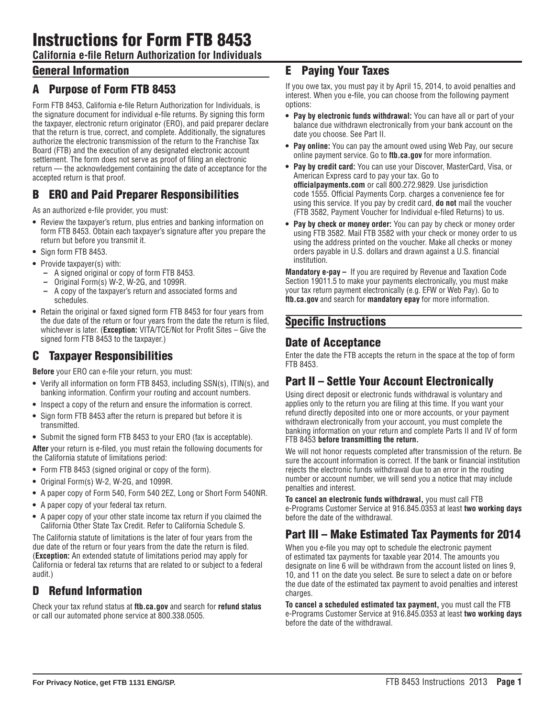**California e-file Return Authorization for Individuals**

## General Information

## A Purpose of Form FTB 8453

Form FTB 8453, California e-file Return Authorization for Individuals, is the signature document for individual e-file returns. By signing this form the taxpayer, electronic return originator (ERO), and paid preparer declare that the return is true, correct, and complete. Additionally, the signatures authorize the electronic transmission of the return to the Franchise Tax Board (FTB) and the execution of any designated electronic account settlement. The form does not serve as proof of filing an electronic return — the acknowledgement containing the date of acceptance for the accepted return is that proof.

## B ERO and Paid Preparer Responsibilities

As an authorized e-file provider, you must:

- **•** Review the taxpayer's return, plus entries and banking information on form FTB 8453. Obtain each taxpayer's signature after you prepare the return but before you transmit it.
- **•** Sign form FTB 8453.
- **•** Provide taxpayer(s) with:
	- **–** A signed original or copy of form FTB 8453.
	- **–** Original Form(s) W-2, W-2G, and 1099R.
	- **–** A copy of the taxpayer's return and associated forms and schedules.
- **•** Retain the original or faxed signed form FTB 8453 for four years from the due date of the return or four years from the date the return is filed, whichever is later. (**Exception:** VITA/TCE/Not for Profit Sites – Give the signed form FTB 8453 to the taxpayer.)

## C Taxpayer Responsibilities

**Before** your ERO can e-file your return, you must:

- **•** Verify all information on form FTB 8453, including SSN(s), ITIN(s), and banking information. Confirm your routing and account numbers.
- **•** Inspect a copy of the return and ensure the information is correct.
- **•** Sign form FTB 8453 after the return is prepared but before it is transmitted.
- **•** Submit the signed form FTB 8453 to your ERO (fax is acceptable).

**After** your return is e-filed, you must retain the following documents for the California statute of limitations period:

- **•** Form FTB 8453 (signed original or copy of the form).
- **•** Original Form(s) W-2, W-2G, and 1099R.
- **•** A paper copy of Form 540, Form 540 2EZ, Long or Short Form 540NR.
- **•** A paper copy of your federal tax return.
- **•** A paper copy of your other state income tax return if you claimed the California Other State Tax Credit. Refer to California Schedule S.

The California statute of limitations is the later of four years from the due date of the return or four years from the date the return is filed. (**Exception:** An extended statute of limitations period may apply for California or federal tax returns that are related to or subject to a federal audit.)

## D Refund Information

Check your tax refund status at **ftb.ca.gov** and search for **refund status** or call our automated phone service at 800.338.0505.

### E Paying Your Taxes

If you owe tax, you must pay it by April 15, 2014, to avoid penalties and interest. When you e-file, you can choose from the following payment options:

- **• Pay by electronic funds withdrawal:** You can have all or part of your balance due withdrawn electronically from your bank account on the date you choose. See Part II.
- **• Pay online:** You can pay the amount owed using Web Pay, our secure online payment service. Go to **ftb.ca.gov** for more information.
- **• Pay by credit card:** You can use your Discover, MasterCard, Visa, or American Express card to pay your tax. Go to **officialpayments.com** or call 800.272.9829. Use jurisdiction code 1555. Official Payments Corp. charges a convenience fee for using this service. If you pay by credit card, **do not** mail the voucher (FTB 3582, Payment Voucher for Individual e-filed Returns) to us.
- **• Pay by check or money order:** You can pay by check or money order using FTB 3582. Mail FTB 3582 with your check or money order to us using the address printed on the voucher. Make all checks or money orders payable in U.S. dollars and drawn against a U.S. financial institution.

**Mandatory e-pay –** If you are required by Revenue and Taxation Code Section 19011.5 to make your payments electronically, you must make your tax return payment electronically (e.g. EFW or Web Pay). Go to **ftb.ca.gov** and search for **mandatory epay** for more information.

#### Specific Instructions

#### Date of Acceptance

Enter the date the FTB accepts the return in the space at the top of form FTB 8453.

## Part II – Settle Your Account Electronically

Using direct deposit or electronic funds withdrawal is voluntary and applies only to the return you are filing at this time. If you want your refund directly deposited into one or more accounts, or your payment withdrawn electronically from your account, you must complete the banking information on your return and complete Parts II and IV of form FTB 8453 **before transmitting the return.**

We will not honor requests completed after transmission of the return. Be sure the account information is correct. If the bank or financial institution rejects the electronic funds withdrawal due to an error in the routing number or account number, we will send you a notice that may include penalties and interest.

**To cancel an electronic funds withdrawal,** you must call FTB e-Programs Customer Service at 916.845.0353 at least **two working days** before the date of the withdrawal.

# Part III – Make Estimated Tax Payments for 2014

When you e-file you may opt to schedule the electronic payment of estimated tax payments for taxable year 2014. The amounts you designate on line 6 will be withdrawn from the account listed on lines 9, 10, and 11 on the date you select. Be sure to select a date on or before the due date of the estimated tax payment to avoid penalties and interest charges.

**To cancel a scheduled estimated tax payment,** you must call the FTB e-Programs Customer Service at 916.845.0353 at least **two working days** before the date of the withdrawal.